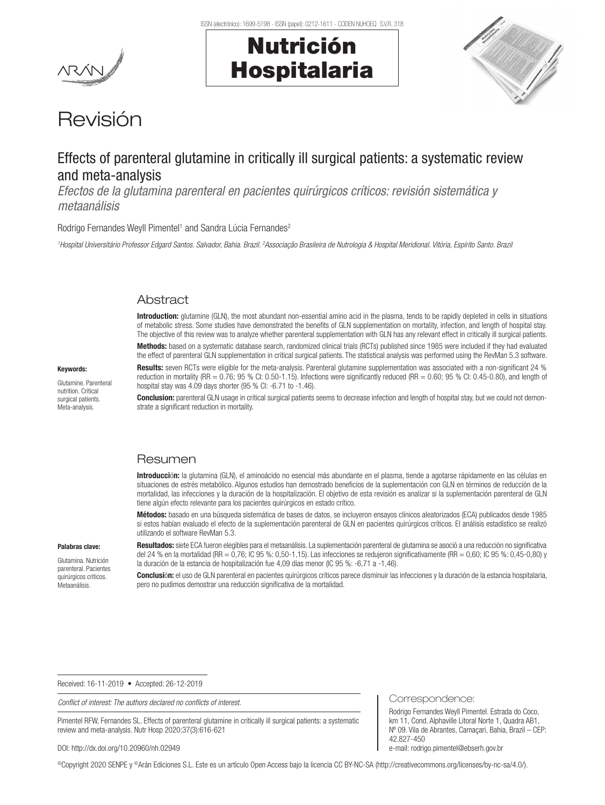



# Revisión

## Effects of parenteral glutamine in critically ill surgical patients: a systematic review and meta-analysis

*Efectos de la glutamina parenteral en pacientes quirúrgicos críticos: revisión sistemática y metaanálisis*

Rodrigo Fernandes Weyll Pimentel<sup>1</sup> and Sandra Lúcia Fernandes<sup>2</sup>

<sup>1</sup>Hospital Universitário Professor Edgard Santos. Salvador, Bahia. Brazil. <sup>2</sup>Associação Brasileira de Nutrologia & Hospital Meridional. Vitória, Espírito Santo. Brazi

### Abstract

Introduction: glutamine (GLN), the most abundant non-essential amino acid in the plasma, tends to be rapidly depleted in cells in situations of metabolic stress. Some studies have demonstrated the benefits of GLN supplementation on mortality, infection, and length of hospital stay. The objective of this review was to analyze whether parenteral supplementation with GLN has any relevant effect in critically ill surgical patients.

Methods: based on a systematic database search, randomized clinical trials (RCTs) published since 1985 were included if they had evaluated the effect of parenteral GLN supplementation in critical surgical patients. The statistical analysis was performed using the RevMan 5.3 software.

Results: seven RCTs were eligible for the meta-analysis. Parenteral glutamine supplementation was associated with a non-significant 24 % reduction in mortality (RR =  $0.76$ ; 95 % CI: 0.50-1.15). Infections were significantly reduced (RR =  $0.60$ ; 95 % CI: 0.45-0.80), and length of hospital stay was 4.09 days shorter (95 % CI: -6.71 to -1.46).

**Conclusion:** parenteral GLN usage in critical surgical patients seems to decrease infection and length of hospital stay, but we could not demonstrate a significant reduction in mortality.

### **Resumen**

Introducción: la glutamina (GLN), el aminoácido no esencial más abundante en el plasma, tiende a agotarse rápidamente en las células en situaciones de estrés metabólico. Algunos estudios han demostrado beneficios de la suplementación con GLN en términos de reducción de la mortalidad, las infecciones y la duración de la hospitalización. El objetivo de esta revisión es analizar si la suplementación parenteral de GLN tiene algún efecto relevante para los pacientes quirúrgicos en estado crítico.

Métodos: basado en una búsqueda sistemática de bases de datos, se incluyeron ensayos clínicos aleatorizados (ECA) publicados desde 1985 si estos habían evaluado el efecto de la suplementación parenteral de GLN en pacientes quirúrgicos críticos. El análisis estadístico se realizó utilizando el software RevMan 5.3.

Resultados: siete ECA fueron elegibles para el metaanálisis. La suplementación parenteral de glutamina se asoció a una reducción no significativa del 24 % en la mortalidad (RR = 0,76; IC 95 %: 0,50-1,15). Las infecciones se redujeron significativamente (RR = 0,60; IC 95 %: 0,45-0,80) y la duración de la estancia de hospitalización fue 4,09 días menor (IC 95 %: -6,71 a -1,46).

Conclusión: el uso de GLN parenteral en pacientes quirúrgicos críticos parece disminuir las infecciones y la duración de la estancia hospitalaria, pero no pudimos demostrar una reducción significativa de la mortalidad.

Received: 16-11-2019 • Accepted: 26-12-2019

*Conflict of interest: The authors declared no conflicts of interest.*

Pimentel RFW, Fernandes SL. Effects of parenteral glutamine in critically ill surgical patients: a systematic review and meta-analysis. Nutr Hosp 2020;37(3):616-621

#### DOI: http://dx.doi.org/10.20960/nh.02949

©Copyright 2020 SENPE y ©Arán Ediciones S.L. Este es un artículo Open Access bajo la licencia CC BY-NC-SA (http://creativecommons.org/licenses/by-nc-sa/4.0/).

Keywords: Glutamine. Parenteral

nutrition. Critical surgical patients. Meta-analysis.

Palabras clave: Glutamina. Nutrición parenteral. Pacientes quirúrgicos críticos. Metaanálisis.

Correspondence:

Rodrigo Fernandes Weyll Pimentel. Estrada do Coco, km 11, Cond. Alphaville Litoral Norte 1, Quadra AB1, Nº 09. Vila de Abrantes, Camaçari, Bahia, Brazil – CEP: 42.827-450 e-mail: rodrigo.pimentel@ebserh.gov.br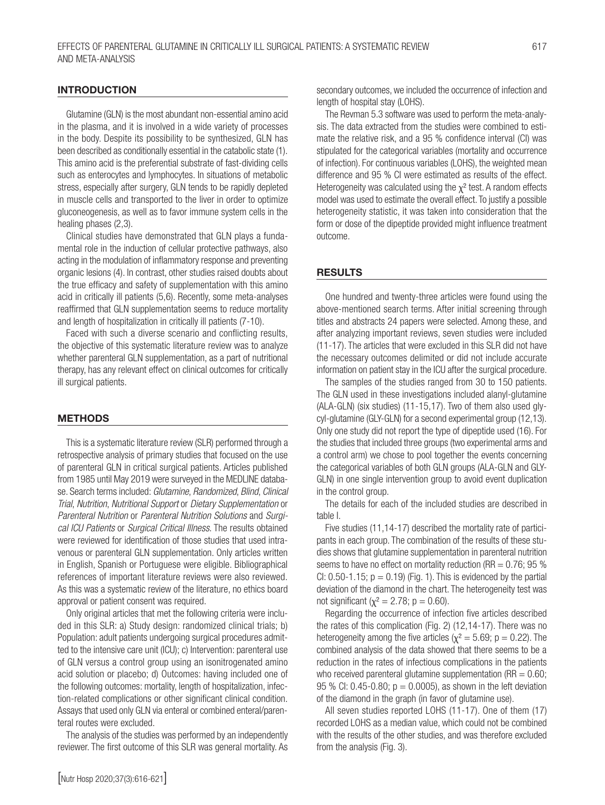Glutamine (GLN) is the most abundant non-essential amino acid in the plasma, and it is involved in a wide variety of processes in the body. Despite its possibility to be synthesized, GLN has been described as conditionally essential in the catabolic state (1). This amino acid is the preferential substrate of fast-dividing cells such as enterocytes and lymphocytes. In situations of metabolic stress, especially after surgery, GLN tends to be rapidly depleted in muscle cells and transported to the liver in order to optimize gluconeogenesis, as well as to favor immune system cells in the healing phases (2,3).

Clinical studies have demonstrated that GLN plays a fundamental role in the induction of cellular protective pathways, also acting in the modulation of inflammatory response and preventing organic lesions (4). In contrast, other studies raised doubts about the true efficacy and safety of supplementation with this amino acid in critically ill patients (5,6). Recently, some meta-analyses reaffirmed that GLN supplementation seems to reduce mortality and length of hospitalization in critically ill patients (7-10).

Faced with such a diverse scenario and conflicting results, the objective of this systematic literature review was to analyze whether parenteral GLN supplementation, as a part of nutritional therapy, has any relevant effect on clinical outcomes for critically ill surgical patients.

#### METHODS

INTRODUCTION

This is a systematic literature review (SLR) performed through a retrospective analysis of primary studies that focused on the use of parenteral GLN in critical surgical patients. Articles published from 1985 until May 2019 were surveyed in the MEDLINE database. Search terms included: *Glutamine*, *Randomized*, *Blind*, *Clinical Trial*, *Nutrition*, *Nutritional Support* or *Dietary Supplementation* or *Parenteral Nutrition* or *Parenteral Nutrition Solutions* and *Surgical ICU Patients* or *Surgical Critical Illness*. The results obtained were reviewed for identification of those studies that used intravenous or parenteral GLN supplementation. Only articles written in English, Spanish or Portuguese were eligible. Bibliographical references of important literature reviews were also reviewed. As this was a systematic review of the literature, no ethics board approval or patient consent was required.

Only original articles that met the following criteria were included in this SLR: a) Study design: randomized clinical trials; b) Population: adult patients undergoing surgical procedures admitted to the intensive care unit (ICU); c) Intervention: parenteral use of GLN versus a control group using an isonitrogenated amino acid solution or placebo; d) Outcomes: having included one of the following outcomes: mortality, length of hospitalization, infection-related complications or other significant clinical condition. Assays that used only GLN via enteral or combined enteral/parenteral routes were excluded.

The analysis of the studies was performed by an independently reviewer. The first outcome of this SLR was general mortality. As secondary outcomes, we included the occurrence of infection and length of hospital stay (LOHS).

The Revman 5.3 software was used to perform the meta-analysis. The data extracted from the studies were combined to estimate the relative risk, and a 95 % confidence interval (CI) was stipulated for the categorical variables (mortality and occurrence of infection). For continuous variables (LOHS), the weighted mean difference and 95 % CI were estimated as results of the effect. Heterogeneity was calculated using the  $\chi^2$  test. A random effects model was used to estimate the overall effect. To justify a possible heterogeneity statistic, it was taken into consideration that the form or dose of the dipeptide provided might influence treatment outcome.

#### RESULTS

One hundred and twenty-three articles were found using the above-mentioned search terms. After initial screening through titles and abstracts 24 papers were selected. Among these, and after analyzing important reviews, seven studies were included (11-17). The articles that were excluded in this SLR did not have the necessary outcomes delimited or did not include accurate information on patient stay in the ICU after the surgical procedure.

The samples of the studies ranged from 30 to 150 patients. The GLN used in these investigations included alanyl-glutamine (ALA-GLN) (six studies) (11-15,17). Two of them also used glycyl-glutamine (GLY-GLN) for a second experimental group (12,13). Only one study did not report the type of dipeptide used (16). For the studies that included three groups (two experimental arms and a control arm) we chose to pool together the events concerning the categorical variables of both GLN groups (ALA-GLN and GLY-GLN) in one single intervention group to avoid event duplication in the control group.

The details for each of the included studies are described in table I.

Five studies (11,14-17) described the mortality rate of participants in each group. The combination of the results of these studies shows that glutamine supplementation in parenteral nutrition seems to have no effect on mortality reduction (RR  $= 0.76$ ; 95 % CI:  $0.50 - 1.15$ ;  $p = 0.19$  (Fig. 1). This is evidenced by the partial deviation of the diamond in the chart. The heterogeneity test was not significant ( $χ² = 2.78; p = 0.60$ ).

Regarding the occurrence of infection five articles described the rates of this complication (Fig. 2) (12,14-17). There was no heterogeneity among the five articles ( $\chi^2 = 5.69$ ; p = 0.22). The combined analysis of the data showed that there seems to be a reduction in the rates of infectious complications in the patients who received parenteral glutamine supplementation ( $RR = 0.60$ ; 95 % CI: 0.45-0.80;  $p = 0.0005$ ), as shown in the left deviation of the diamond in the graph (in favor of glutamine use).

All seven studies reported LOHS (11-17). One of them (17) recorded LOHS as a median value, which could not be combined with the results of the other studies, and was therefore excluded from the analysis (Fig. 3).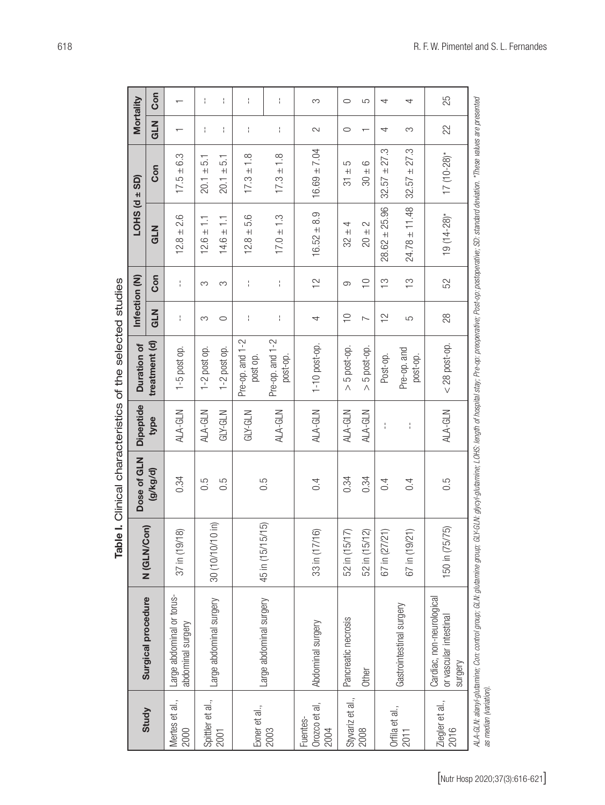| ÷<br>÷<br>÷<br>Ť<br>S<br>$\circ$<br>5<br>4<br>4<br><b>NTO</b><br>22<br>÷<br>÷<br>÷<br>ł<br>$\sim$<br>$\circ$<br>S<br>4<br>↽<br>27.3<br>27.3<br>$16.69 \pm 7.04$<br>$17(10-28)*$<br>$17.3 \pm 1.8$<br>6.3<br>$17.3 \pm 1.8$<br>5.1<br>57<br>5<br>6<br>Con<br>$17.5 \pm 1$<br>$+$<br>$\pm$<br>$20.1 \pm$<br>$+$<br>$+$<br>$+1$<br>$\overline{5}$<br>32.57<br>20.1<br>30<br>32.57<br>$24.78 \pm 11.48$<br>25.96<br>$16.52 \pm 8.9$<br>$19(14-28)$ *<br>2.6<br>5.6<br>$17.0 \pm 1.3$<br>들<br>들<br>4<br>2<br><b>NTO</b><br>$32 \pm$<br>$12.8 \pm 1$<br>$12.6 \pm$<br>$14.6 \pm$<br>$10 +$<br>$12.8 \pm$<br>$+$<br>28.62<br>Con<br>$\approx$<br>52<br>$\supseteq$<br>က်<br>(<br>$\frac{1}{2}$<br>÷<br>÷<br>÷<br>S<br>9<br>S<br><b>NTD</b><br>$28$<br>$\supseteq$<br>$\approx$<br>$\mathord{\mathsf{I}}$<br>ŧ<br>$\frac{1}{4}$<br>$\sim$<br>$\circ$<br>5<br>S<br>4<br>Pre-op. and 1-2<br>Pre-op. and 1-2<br>treatment (d)<br>1-10 post-op.<br>$<$ 28 post-op.<br>5 post-op.<br>1-5 post op.<br>$1-2$ post op.<br>$1-2$ post op.<br>5 post-op.<br>Pre-op. and<br>post-op.<br>Post-op.<br>post-op.<br>post op.<br>$\wedge$<br>$\wedge$<br>ALA-GLN<br>ALA-GLN<br>ALA-GLN<br>ALA-GLN<br>ALA-GLN<br>ALA-GLN<br>ALA-GLN<br>$GLY-GLN$<br>$GLY$ -GLN<br>type<br>Ť<br>Ť<br>(g/kg/d)<br>0.34<br>0.34<br>0.34<br>$0.\overline{5}$<br>0.5<br>0.5<br>0.5<br>0.4<br>0.4<br>0.4<br>$(10 \text{ in})$<br>5/15<br>Con)<br>150 in (75/75)<br>33 in (17/16)<br>52 in (15/17)<br>52 in (15/12)<br>(21)<br>(21)<br>/18)<br>$37$ in (19/<br>67 in (19)<br>N (GLN/<br>30 (10/10/<br>45 in (15/1<br>67 in (27<br>Large abdominal or torus-<br>Cardiac, non-neurological<br>Surgical procedure<br>Large abdominal surgery<br>Large abdominal surgery<br>Gastrointestinal surgery<br>or vascular intestinal<br>Pancreatic necrosis<br>Abdominal surgery<br>abdominal surgery<br>Other<br>Styvariz et al.,<br>Spittler et al.,<br>Mertes et al.,<br>Ziegler et al.,<br>Orozco et al,<br>Exner et al.,<br>2003<br>Orfila et al.,<br>Study<br>Fuentes-<br>2000<br>2008<br>2016<br>2004<br>2011<br>2001 | G1/-GLN: glycyl-glutamine; LOHS: length of hospital stay; Pre-op: preoperative; Post-op: postoperative; SD: standard deviation. *These values are presented<br>ALA-GLN: alanyl-glutamine; Con: control group; GLN: glutamine group;<br>surgery<br>as median (variation). |  | Dose of GLN | <b>Dipeptide</b> | Duration of | Infection (N) | <b>LOHS</b> (d | $\pm$ SD) | Mortality |     |
|--------------------------------------------------------------------------------------------------------------------------------------------------------------------------------------------------------------------------------------------------------------------------------------------------------------------------------------------------------------------------------------------------------------------------------------------------------------------------------------------------------------------------------------------------------------------------------------------------------------------------------------------------------------------------------------------------------------------------------------------------------------------------------------------------------------------------------------------------------------------------------------------------------------------------------------------------------------------------------------------------------------------------------------------------------------------------------------------------------------------------------------------------------------------------------------------------------------------------------------------------------------------------------------------------------------------------------------------------------------------------------------------------------------------------------------------------------------------------------------------------------------------------------------------------------------------------------------------------------------------------------------------------------------------------------------------------------------------------------------------------------------------------------------------------------------------------------------------------------------------------------------------------------------------------------------------------------------------------------------------------------------------------------------------------------------------|--------------------------------------------------------------------------------------------------------------------------------------------------------------------------------------------------------------------------------------------------------------------------|--|-------------|------------------|-------------|---------------|----------------|-----------|-----------|-----|
|                                                                                                                                                                                                                                                                                                                                                                                                                                                                                                                                                                                                                                                                                                                                                                                                                                                                                                                                                                                                                                                                                                                                                                                                                                                                                                                                                                                                                                                                                                                                                                                                                                                                                                                                                                                                                                                                                                                                                                                                                                                                    |                                                                                                                                                                                                                                                                          |  |             |                  |             |               |                |           |           | Con |
|                                                                                                                                                                                                                                                                                                                                                                                                                                                                                                                                                                                                                                                                                                                                                                                                                                                                                                                                                                                                                                                                                                                                                                                                                                                                                                                                                                                                                                                                                                                                                                                                                                                                                                                                                                                                                                                                                                                                                                                                                                                                    |                                                                                                                                                                                                                                                                          |  |             |                  |             |               |                |           |           |     |
|                                                                                                                                                                                                                                                                                                                                                                                                                                                                                                                                                                                                                                                                                                                                                                                                                                                                                                                                                                                                                                                                                                                                                                                                                                                                                                                                                                                                                                                                                                                                                                                                                                                                                                                                                                                                                                                                                                                                                                                                                                                                    |                                                                                                                                                                                                                                                                          |  |             |                  |             |               |                |           |           |     |
|                                                                                                                                                                                                                                                                                                                                                                                                                                                                                                                                                                                                                                                                                                                                                                                                                                                                                                                                                                                                                                                                                                                                                                                                                                                                                                                                                                                                                                                                                                                                                                                                                                                                                                                                                                                                                                                                                                                                                                                                                                                                    |                                                                                                                                                                                                                                                                          |  |             |                  |             |               |                |           |           |     |
|                                                                                                                                                                                                                                                                                                                                                                                                                                                                                                                                                                                                                                                                                                                                                                                                                                                                                                                                                                                                                                                                                                                                                                                                                                                                                                                                                                                                                                                                                                                                                                                                                                                                                                                                                                                                                                                                                                                                                                                                                                                                    |                                                                                                                                                                                                                                                                          |  |             |                  |             |               |                |           |           |     |
|                                                                                                                                                                                                                                                                                                                                                                                                                                                                                                                                                                                                                                                                                                                                                                                                                                                                                                                                                                                                                                                                                                                                                                                                                                                                                                                                                                                                                                                                                                                                                                                                                                                                                                                                                                                                                                                                                                                                                                                                                                                                    |                                                                                                                                                                                                                                                                          |  |             |                  |             |               |                |           |           |     |
|                                                                                                                                                                                                                                                                                                                                                                                                                                                                                                                                                                                                                                                                                                                                                                                                                                                                                                                                                                                                                                                                                                                                                                                                                                                                                                                                                                                                                                                                                                                                                                                                                                                                                                                                                                                                                                                                                                                                                                                                                                                                    |                                                                                                                                                                                                                                                                          |  |             |                  |             |               |                |           |           |     |
|                                                                                                                                                                                                                                                                                                                                                                                                                                                                                                                                                                                                                                                                                                                                                                                                                                                                                                                                                                                                                                                                                                                                                                                                                                                                                                                                                                                                                                                                                                                                                                                                                                                                                                                                                                                                                                                                                                                                                                                                                                                                    |                                                                                                                                                                                                                                                                          |  |             |                  |             |               |                |           |           |     |
|                                                                                                                                                                                                                                                                                                                                                                                                                                                                                                                                                                                                                                                                                                                                                                                                                                                                                                                                                                                                                                                                                                                                                                                                                                                                                                                                                                                                                                                                                                                                                                                                                                                                                                                                                                                                                                                                                                                                                                                                                                                                    |                                                                                                                                                                                                                                                                          |  |             |                  |             |               |                |           |           |     |
|                                                                                                                                                                                                                                                                                                                                                                                                                                                                                                                                                                                                                                                                                                                                                                                                                                                                                                                                                                                                                                                                                                                                                                                                                                                                                                                                                                                                                                                                                                                                                                                                                                                                                                                                                                                                                                                                                                                                                                                                                                                                    |                                                                                                                                                                                                                                                                          |  |             |                  |             |               |                |           |           |     |
|                                                                                                                                                                                                                                                                                                                                                                                                                                                                                                                                                                                                                                                                                                                                                                                                                                                                                                                                                                                                                                                                                                                                                                                                                                                                                                                                                                                                                                                                                                                                                                                                                                                                                                                                                                                                                                                                                                                                                                                                                                                                    |                                                                                                                                                                                                                                                                          |  |             |                  |             |               |                |           |           |     |
|                                                                                                                                                                                                                                                                                                                                                                                                                                                                                                                                                                                                                                                                                                                                                                                                                                                                                                                                                                                                                                                                                                                                                                                                                                                                                                                                                                                                                                                                                                                                                                                                                                                                                                                                                                                                                                                                                                                                                                                                                                                                    |                                                                                                                                                                                                                                                                          |  |             |                  |             |               |                |           |           | 25  |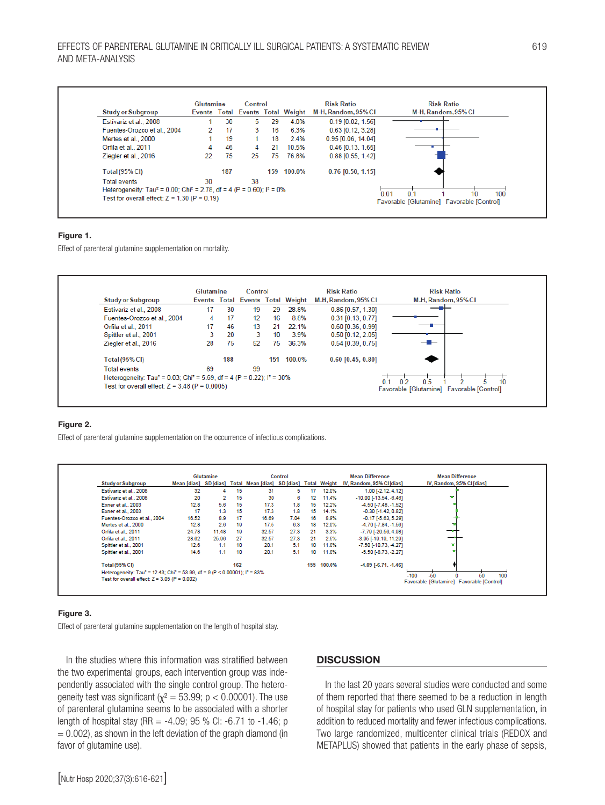|                                                                                                         | Glutamine |     | Control |     |                                  | <b>Risk Ratio</b>    | <b>Risk Ratio</b>                         |
|---------------------------------------------------------------------------------------------------------|-----------|-----|---------|-----|----------------------------------|----------------------|-------------------------------------------|
| <b>Study or Subgroup</b>                                                                                |           |     |         |     | Events Total Events Total Weight | M-H, Random, 95% CI  | M-H, Random, 95% CI                       |
| Estívariz et al., 2008                                                                                  |           | 30  | 5       | 29  | 4.0%                             | $0.19$ [0.02, 1.56]  |                                           |
| Fuentes-Orozco et al., 2004                                                                             |           | 17  | 3       | 16  | 6.3%                             | $0.63$ [0.12, 3.28]  |                                           |
| Mertes et al., 2000                                                                                     |           | 19  |         | 18  | 2.4%                             | $0.95$ [0.06, 14.04] |                                           |
| Orfila et al., 2011                                                                                     |           | 46  | 4       | 21  | 10.5%                            | $0.46$ [0.13, 1.65]  |                                           |
| Ziegler et al., 2016                                                                                    | 22        | 75  | 25      | 75. | 76.8%                            | $0.88$ [0.55, 1.42]  |                                           |
| <b>Total (95% CI)</b>                                                                                   |           | 187 |         | 159 | 100.0%                           | $0.76$ [0.50, 1.15]  |                                           |
| <b>Total events</b>                                                                                     | 30        |     | 38      |     |                                  |                      |                                           |
| Heterogeneity: Tau <sup>2</sup> = 0.00; Chi <sup>2</sup> = 2.78, df = 4 (P = 0.60); l <sup>2</sup> = 0% |           |     |         |     |                                  |                      | 100<br>0.01<br>0 <sub>1</sub><br>10       |
| Test for overall effect: $Z = 1.30$ (P = 0.19)                                                          |           |     |         |     |                                  |                      | Favorable [Glutamine] Favorable [Control] |

#### Figure 1.

Effect of parenteral glutamine supplementation on mortality.



#### Figure 2.

Effect of parenteral glutamine supplementation on the occurrence of infectious complications.

|                                                                                                               |       | Glutamine |     |                                                                | <b>Control</b> |     |        | <b>Mean Difference</b>         | <b>Mean Difference</b>                    |
|---------------------------------------------------------------------------------------------------------------|-------|-----------|-----|----------------------------------------------------------------|----------------|-----|--------|--------------------------------|-------------------------------------------|
| <b>Study or Subgroup</b>                                                                                      |       |           |     | Mean [dias] SD [dias] Total Mean [dias] SD [dias] Total Weight |                |     |        | IV, Random, 95% CI [dias]      | IV, Random, 95% CI [dias]                 |
| Estivariz et al., 2008                                                                                        | 32    |           | 15  | 31                                                             | 5.             | 17  | 12.0%  | 1.00 [-2.12, 4.12]             |                                           |
| Estívariz et al., 2008                                                                                        | 20    |           | 15  | 30                                                             | 6              | 12  | 11.4%  | $-10.00$ $[-13.54, -6.46]$     | ÷                                         |
| Exner et al., 2003                                                                                            | 12.8  | 5.6       | 15  | 17.3                                                           | 1.8            | 15  | 12.2%  | 4.50 [-7.48, -1.52]            |                                           |
| Exner et al., 2003                                                                                            | 17    | 1.3       | 15  | 17.3                                                           | 1.8            | 15  | 14.1%  | $-0.30$ [ $-1.42$ , $0.82$ ]   |                                           |
| Fuentes-Orozco et al., 2004                                                                                   | 16.52 | 8.9       | 17  | 16.69                                                          | 7.04           | 16  | 8.9%   | $-0.17$ [ $-5.63$ , $5.29$ ]   |                                           |
| Mertes et al., 2000                                                                                           | 12.8  | 2.6       | 19  | 17.5                                                           | 6.3            | 18  | 12.0%  | 4.70 [-7.84, -1.56]            |                                           |
| Orfila et al., 2011                                                                                           | 24.78 | 11.48     | 19  | 32.57                                                          | 27.3           | 21  | 3.3%   | $-7.79$ [ $-20.56$ , 4.98]     |                                           |
| Orfila et al., 2011                                                                                           | 28.62 | 25.96     | 27  | 32.57                                                          | 27.3           | 21  | 2.5%   | $-3.95$ [ $-19.19$ , $11.29$ ] |                                           |
| Spittler et al., 2001                                                                                         | 12.6  | 1.1       | 10  | 20.1                                                           | 5.1            | 10  | 11.8%  | $-7.50$ [ $-10.73$ , $-4.27$ ] |                                           |
| Spittler et al., 2001                                                                                         | 14.6  | 1.1       | 10  | 20.1                                                           | 5.1            | 10  | 11.8%  | $-5.50$ [ $-8.73, -2.27$ ]     |                                           |
| <b>Total (95% CI)</b>                                                                                         |       |           | 162 |                                                                |                | 155 | 100.0% | $-4.09$ [ $-6.71$ , $-1.46$ ]  |                                           |
| Heterogeneity: Tau <sup>2</sup> = 12.43; Chi <sup>2</sup> = 53.99, df = 9 (P < 0.00001); l <sup>2</sup> = 83% |       |           |     |                                                                |                |     |        |                                | $-50$                                     |
| Test for overall effect: $Z = 3.05$ (P = 0.002)                                                               |       |           |     |                                                                |                |     |        |                                | 100<br>$-100$<br>50                       |
|                                                                                                               |       |           |     |                                                                |                |     |        |                                | Favorable [Glutamine] Favorable [Control] |

#### Figure 3.

Effect of parenteral glutamine supplementation on the length of hospital stay.

In the studies where this information was stratified between the two experimental groups, each intervention group was independently associated with the single control group. The heterogeneity test was significant ( $\chi^2 = 53.99$ ; p < 0.00001). The use of parenteral glutamine seems to be associated with a shorter length of hospital stay (RR =  $-4.09$ ; 95 % CI:  $-6.71$  to  $-1.46$ ; p  $= 0.002$ ), as shown in the left deviation of the graph diamond (in favor of glutamine use).

#### **DISCUSSION**

In the last 20 years several studies were conducted and some of them reported that there seemed to be a reduction in length of hospital stay for patients who used GLN supplementation, in addition to reduced mortality and fewer infectious complications. Two large randomized, multicenter clinical trials (REDOX and METAPLUS) showed that patients in the early phase of sepsis,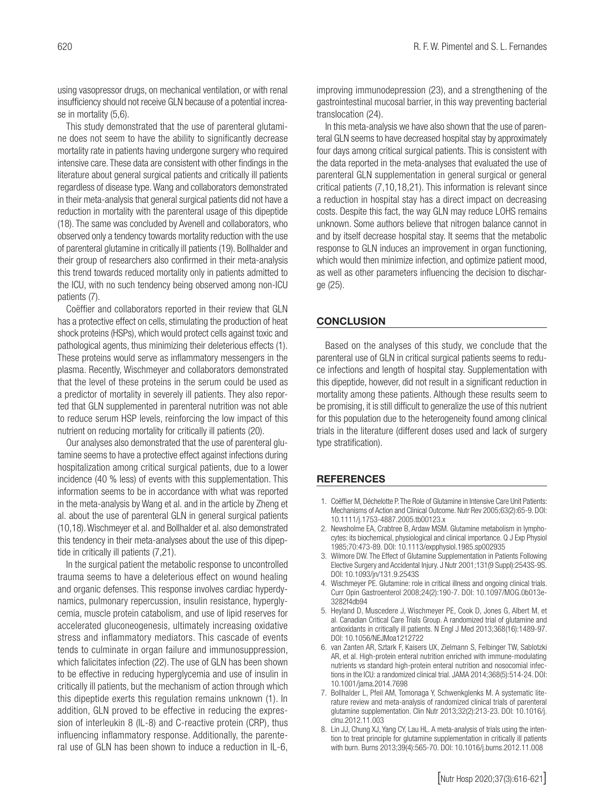using vasopressor drugs, on mechanical ventilation, or with renal insufficiency should not receive GLN because of a potential increase in mortality (5,6).

This study demonstrated that the use of parenteral glutamine does not seem to have the ability to significantly decrease mortality rate in patients having undergone surgery who required intensive care. These data are consistent with other findings in the literature about general surgical patients and critically ill patients regardless of disease type. Wang and collaborators demonstrated in their meta-analysis that general surgical patients did not have a reduction in mortality with the parenteral usage of this dipeptide (18). The same was concluded by Avenell and collaborators, who observed only a tendency towards mortality reduction with the use of parenteral glutamine in critically ill patients (19). Bollhalder and their group of researchers also confirmed in their meta-analysis this trend towards reduced mortality only in patients admitted to the ICU, with no such tendency being observed among non-ICU patients (7).

Coëffier and collaborators reported in their review that GLN has a protective effect on cells, stimulating the production of heat shock proteins (HSPs), which would protect cells against toxic and pathological agents, thus minimizing their deleterious effects (1). These proteins would serve as inflammatory messengers in the plasma. Recently, Wischmeyer and collaborators demonstrated that the level of these proteins in the serum could be used as a predictor of mortality in severely ill patients. They also reported that GLN supplemented in parenteral nutrition was not able to reduce serum HSP levels, reinforcing the low impact of this nutrient on reducing mortality for critically ill patients (20).

Our analyses also demonstrated that the use of parenteral glutamine seems to have a protective effect against infections during hospitalization among critical surgical patients, due to a lower incidence (40 % less) of events with this supplementation. This information seems to be in accordance with what was reported in the meta-analysis by Wang et al. and in the article by Zheng et al. about the use of parenteral GLN in general surgical patients (10,18). Wischmeyer et al. and Bollhalder et al. also demonstrated this tendency in their meta-analyses about the use of this dipeptide in critically ill patients (7,21).

In the surgical patient the metabolic response to uncontrolled trauma seems to have a deleterious effect on wound healing and organic defenses. This response involves cardiac hyperdynamics, pulmonary repercussion, insulin resistance, hyperglycemia, muscle protein catabolism, and use of lipid reserves for accelerated gluconeogenesis, ultimately increasing oxidative stress and inflammatory mediators. This cascade of events tends to culminate in organ failure and immunosuppression, which falicitates infection (22). The use of GLN has been shown to be effective in reducing hyperglycemia and use of insulin in critically ill patients, but the mechanism of action through which this dipeptide exerts this regulation remains unknown (1). In addition, GLN proved to be effective in reducing the expression of interleukin 8 (IL-8) and C-reactive protein (CRP), thus influencing inflammatory response. Additionally, the parenteral use of GLN has been shown to induce a reduction in IL-6,

improving immunodepression (23), and a strengthening of the gastrointestinal mucosal barrier, in this way preventing bacterial translocation (24).

In this meta-analysis we have also shown that the use of parenteral GLN seems to have decreased hospital stay by approximately four days among critical surgical patients. This is consistent with the data reported in the meta-analyses that evaluated the use of parenteral GLN supplementation in general surgical or general critical patients (7,10,18,21). This information is relevant since a reduction in hospital stay has a direct impact on decreasing costs. Despite this fact, the way GLN may reduce LOHS remains unknown. Some authors believe that nitrogen balance cannot in and by itself decrease hospital stay. It seems that the metabolic response to GLN induces an improvement in organ functioning, which would then minimize infection, and optimize patient mood, as well as other parameters influencing the decision to discharge (25).

#### **CONCLUSION**

Based on the analyses of this study, we conclude that the parenteral use of GLN in critical surgical patients seems to reduce infections and length of hospital stay. Supplementation with this dipeptide, however, did not result in a significant reduction in mortality among these patients. Although these results seem to be promising, it is still difficult to generalize the use of this nutrient for this population due to the heterogeneity found among clinical trials in the literature (different doses used and lack of surgery type stratification).

#### **REFERENCES**

- 1. Coëffier M, Déchelotte P. The Role of Glutamine in Intensive Care Unit Patients: Mechanisms of Action and Clinical Outcome. Nutr Rev 2005;63(2):65-9. DOI: 10.1111/j.1753-4887.2005.tb00123.x
- 2. Newsholme EA, Crabtree B, Ardaw MSM. Glutamine metabolism in lymphocytes: its biochemical, physiological and clinical importance. Q J Exp Physiol 1985;70:473-89. DOI: 10.1113/expphysiol.1985.sp002935
- 3. Wilmore DW. The Effect of Glutamine Supplementation in Patients Following Elective Surgery and Accidental Injury. J Nutr 2001;131(9 Suppl):2543S-9S. DOI: 10.1093/jn/131.9.2543S
- 4. Wischmeyer PE. Glutamine: role in critical illness and ongoing clinical trials. Curr Opin Gastroenterol 2008;24(2):190-7. DOI: 10.1097/MOG.0b013e-3282f4db94
- 5. Heyland D, Muscedere J, Wischmeyer PE, Cook D, Jones G, Albert M, et al. Canadian Critical Care Trials Group. A randomized trial of glutamine and antioxidants in critically ill patients. N Engl J Med 2013;368(16):1489-97. DOI: 10.1056/NEJMoa1212722
- 6. van Zanten AR, Sztark F, Kaisers UX, Zielmann S, Felbinger TW, Sablotzki AR, et al. High-protein enteral nutrition enriched with immune-modulating nutrients vs standard high-protein enteral nutrition and nosocomial infections in the ICU: a randomized clinical trial. JAMA 2014;368(5):514-24. DOI: 10.1001/jama.2014.7698
- 7. Bollhalder L, Pfeil AM, Tomonaga Y, Schwenkglenks M. A systematic literature review and meta-analysis of randomized clinical trials of parenteral glutamine supplementation. Clin Nutr 2013;32(2):213-23. DOI: 10.1016/j. clnu.2012.11.003
- 8. Lin JJ, Chung XJ, Yang CY, Lau HL. A meta-analysis of trials using the intention to treat principle for glutamine supplementation in critically ill patients with burn. Burns 2013;39(4):565-70. DOI: 10.1016/j.burns.2012.11.008